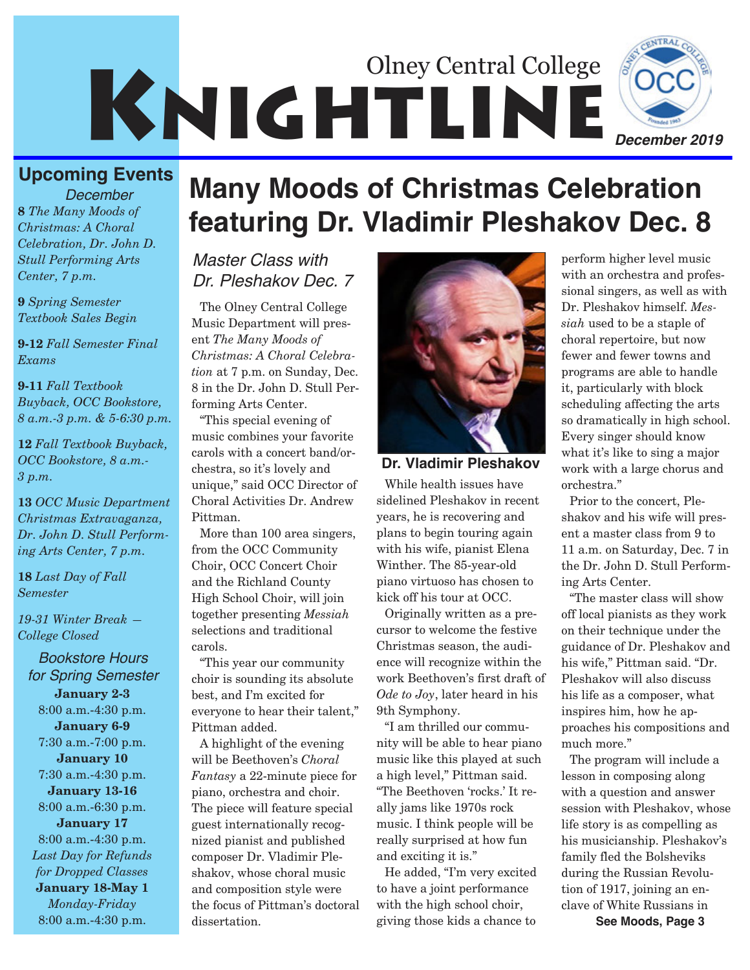

## **Upcoming Events**

**8** *The Many Moods of Christmas: A Choral Celebration, Dr. John D. Stull Performing Arts Center, 7 p.m. December*

**9** *Spring Semester Textbook Sales Begin*

**9-12** *Fall Semester Final Exams*

**9-11** *Fall Textbook Buyback, OCC Bookstore, 8 a.m.-3 p.m. & 5-6:30 p.m.* 

**12** *Fall Textbook Buyback, OCC Bookstore, 8 a.m.- 3 p.m.* 

**13** *OCC Music Department Christmas Extravaganza, Dr. John D. Stull Performing Arts Center, 7 p.m.*

**18** *Last Day of Fall Semester*

*19-31 Winter Break — College Closed*

*Bookstore Hours for Spring Semester* **January 2-3** 8:00 a.m.-4:30 p.m. **January 6-9** 7:30 a.m.-7:00 p.m. **January 10** 7:30 a.m.-4:30 p.m. **January 13-16** 8:00 a.m.-6:30 p.m. **January 17** 8:00 a.m.-4:30 p.m. *Last Day for Refunds for Dropped Classes* **January 18-May 1**  *Monday-Friday* 8:00 a.m.-4:30 p.m.

# **Many Moods of Christmas Celebration featuring Dr. Vladimir Pleshakov Dec. 8**

### *Master Class with Dr. Pleshakov Dec. 7*

The Olney Central College Music Department will present *The Many Moods of Christmas: A Choral Celebration* at 7 p.m. on Sunday, Dec. 8 in the Dr. John D. Stull Performing Arts Center.

"This special evening of music combines your favorite carols with a concert band/orchestra, so it's lovely and unique," said OCC Director of Choral Activities Dr. Andrew Pittman.

More than 100 area singers, from the OCC Community Choir, OCC Concert Choir and the Richland County High School Choir, will join together presenting *Messiah* selections and traditional carols.

"This year our community choir is sounding its absolute best, and I'm excited for everyone to hear their talent," Pittman added.

A highlight of the evening will be Beethoven's *Choral Fantasy* a 22-minute piece for piano, orchestra and choir. The piece will feature special guest internationally recognized pianist and published composer Dr. Vladimir Pleshakov, whose choral music and composition style were the focus of Pittman's doctoral dissertation.



**Dr. Vladimir Pleshakov**

While health issues have sidelined Pleshakov in recent years, he is recovering and plans to begin touring again with his wife, pianist Elena Winther. The 85-year-old piano virtuoso has chosen to kick off his tour at OCC.

Originally written as a precursor to welcome the festive Christmas season, the audience will recognize within the work Beethoven's first draft of *Ode to Joy*, later heard in his 9th Symphony.

"I am thrilled our community will be able to hear piano music like this played at such a high level," Pittman said. "The Beethoven 'rocks.' It really jams like 1970s rock music. I think people will be really surprised at how fun and exciting it is."

He added, "I'm very excited to have a joint performance with the high school choir, giving those kids a chance to

perform higher level music with an orchestra and professional singers, as well as with Dr. Pleshakov himself. *Messiah* used to be a staple of choral repertoire, but now fewer and fewer towns and programs are able to handle it, particularly with block scheduling affecting the arts so dramatically in high school. Every singer should know what it's like to sing a major work with a large chorus and orchestra."

Prior to the concert, Pleshakov and his wife will present a master class from 9 to 11 a.m. on Saturday, Dec. 7 in the Dr. John D. Stull Performing Arts Center.

"The master class will show off local pianists as they work on their technique under the guidance of Dr. Pleshakov and his wife," Pittman said. "Dr. Pleshakov will also discuss his life as a composer, what inspires him, how he approaches his compositions and much more."

The program will include a lesson in composing along with a question and answer session with Pleshakov, whose life story is as compelling as his musicianship. Pleshakov's family fled the Bolsheviks during the Russian Revolution of 1917, joining an enclave of White Russians in **See Moods, Page 3**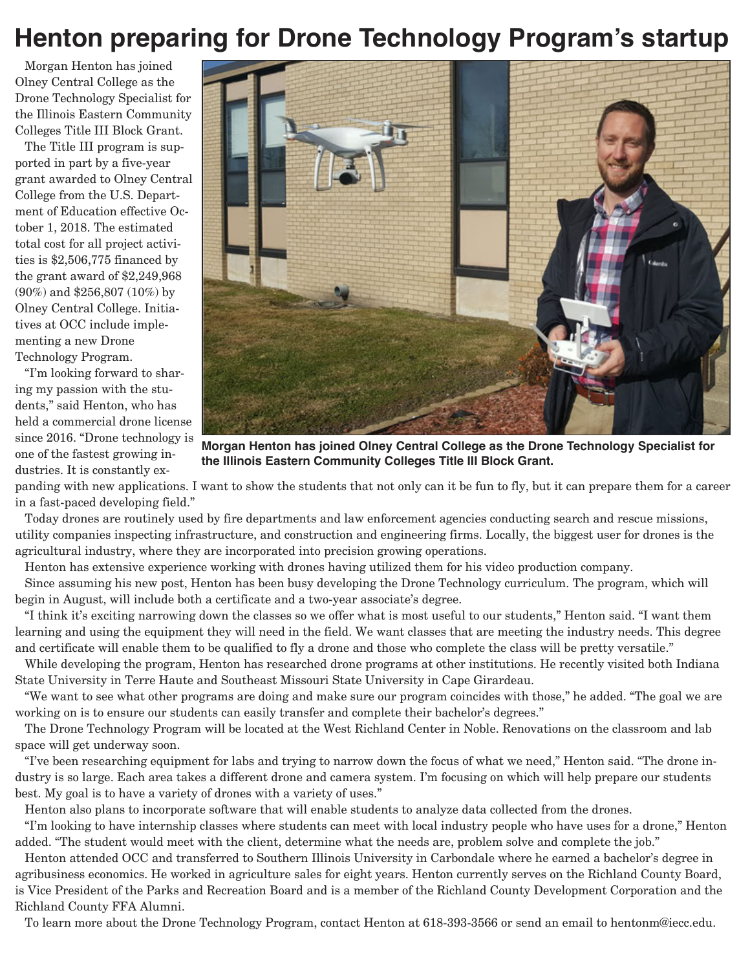# **Henton preparing for Drone Technology Program's startup**

Morgan Henton has joined Olney Central College as the Drone Technology Specialist for the Illinois Eastern Community Colleges Title III Block Grant.

The Title III program is supported in part by a five-year grant awarded to Olney Central College from the U.S. Department of Education effective October 1, 2018. The estimated total cost for all project activities is \$2,506,775 financed by the grant award of \$2,249,968 (90%) and \$256,807 (10%) by Olney Central College. Initiatives at OCC include implementing a new Drone Technology Program.

"I'm looking forward to sharing my passion with the students," said Henton, who has held a commercial drone license since 2016. "Drone technology is one of the fastest growing industries. It is constantly ex-



**Morgan Henton has joined Olney Central College as the Drone Technology Specialist for the Illinois Eastern Community Colleges Title III Block Grant.** 

panding with new applications. I want to show the students that not only can it be fun to fly, but it can prepare them for a career in a fast-paced developing field."

Today drones are routinely used by fire departments and law enforcement agencies conducting search and rescue missions, utility companies inspecting infrastructure, and construction and engineering firms. Locally, the biggest user for drones is the agricultural industry, where they are incorporated into precision growing operations.

Henton has extensive experience working with drones having utilized them for his video production company.

Since assuming his new post, Henton has been busy developing the Drone Technology curriculum. The program, which will begin in August, will include both a certificate and a two-year associate's degree.

"I think it's exciting narrowing down the classes so we offer what is most useful to our students," Henton said. "I want them learning and using the equipment they will need in the field. We want classes that are meeting the industry needs. This degree and certificate will enable them to be qualified to fly a drone and those who complete the class will be pretty versatile."

While developing the program, Henton has researched drone programs at other institutions. He recently visited both Indiana State University in Terre Haute and Southeast Missouri State University in Cape Girardeau.

"We want to see what other programs are doing and make sure our program coincides with those," he added. "The goal we are working on is to ensure our students can easily transfer and complete their bachelor's degrees."

The Drone Technology Program will be located at the West Richland Center in Noble. Renovations on the classroom and lab space will get underway soon.

"I've been researching equipment for labs and trying to narrow down the focus of what we need," Henton said. "The drone industry is so large. Each area takes a different drone and camera system. I'm focusing on which will help prepare our students best. My goal is to have a variety of drones with a variety of uses."

Henton also plans to incorporate software that will enable students to analyze data collected from the drones.

"I'm looking to have internship classes where students can meet with local industry people who have uses for a drone," Henton added. "The student would meet with the client, determine what the needs are, problem solve and complete the job."

Henton attended OCC and transferred to Southern Illinois University in Carbondale where he earned a bachelor's degree in agribusiness economics. He worked in agriculture sales for eight years. Henton currently serves on the Richland County Board, is Vice President of the Parks and Recreation Board and is a member of the Richland County Development Corporation and the Richland County FFA Alumni.

To learn more about the Drone Technology Program, contact Henton at 618-393-3566 or send an email to hentonm@iecc.edu.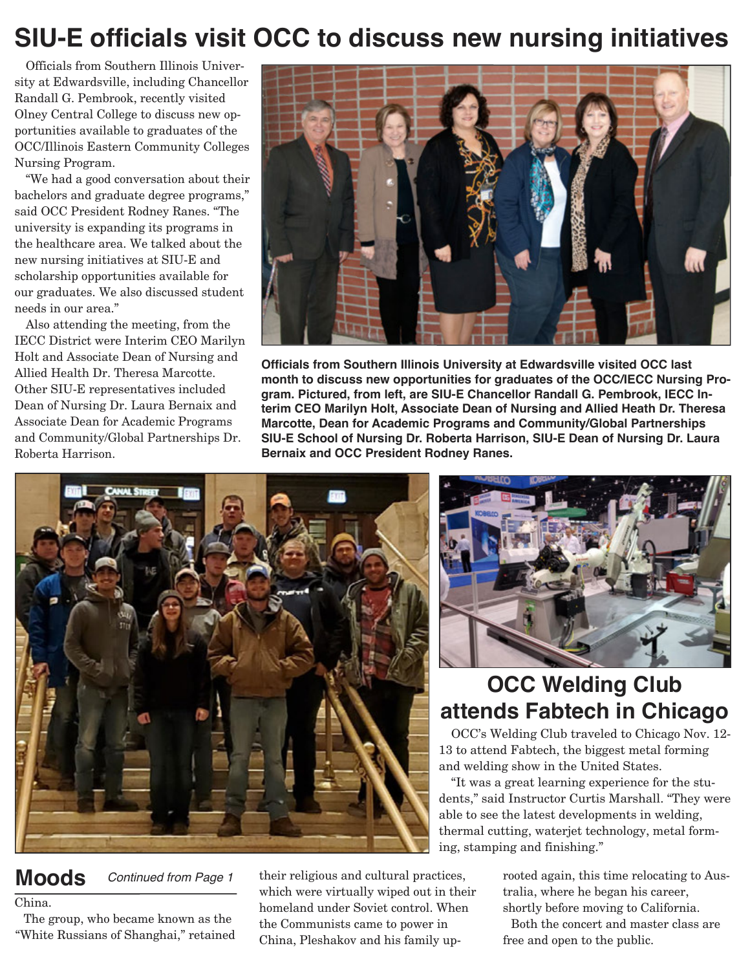# **SIU-E officials visit OCC to discuss new nursing initiatives**

Officials from Southern Illinois University at Edwardsville, including Chancellor Randall G. Pembrook, recently visited Olney Central College to discuss new opportunities available to graduates of the OCC/Illinois Eastern Community Colleges Nursing Program.

"We had a good conversation about their bachelors and graduate degree programs," said OCC President Rodney Ranes. "The university is expanding its programs in the healthcare area. We talked about the new nursing initiatives at SIU-E and scholarship opportunities available for our graduates. We also discussed student needs in our area."

Also attending the meeting, from the IECC District were Interim CEO Marilyn Holt and Associate Dean of Nursing and Allied Health Dr. Theresa Marcotte. Other SIU-E representatives included Dean of Nursing Dr. Laura Bernaix and Associate Dean for Academic Programs and Community/Global Partnerships Dr. Roberta Harrison.



**Officials from Southern Illinois University at Edwardsville visited OCC last month to discuss new opportunities for graduates of the OCC/IECC Nursing Program. Pictured, from left, are SIU-E Chancellor Randall G. Pembrook, IECC Interim CEO Marilyn Holt, Associate Dean of Nursing and Allied Heath Dr. Theresa Marcotte, Dean for Academic Programs and Community/Global Partnerships SIU-E School of Nursing Dr. Roberta Harrison, SIU-E Dean of Nursing Dr. Laura Bernaix and OCC President Rodney Ranes.**





## **OCC Welding Club attends Fabtech in Chicago**

OCC's Welding Club traveled to Chicago Nov. 12- 13 to attend Fabtech, the biggest metal forming and welding show in the United States.

"It was a great learning experience for the students," said Instructor Curtis Marshall. "They were able to see the latest developments in welding, thermal cutting, waterjet technology, metal forming, stamping and finishing."

**Moods** *Continued from Page 1*

### China.

The group, who became known as the "White Russians of Shanghai," retained

their religious and cultural practices, which were virtually wiped out in their homeland under Soviet control. When the Communists came to power in China, Pleshakov and his family uprooted again, this time relocating to Australia, where he began his career, shortly before moving to California.

Both the concert and master class are free and open to the public.